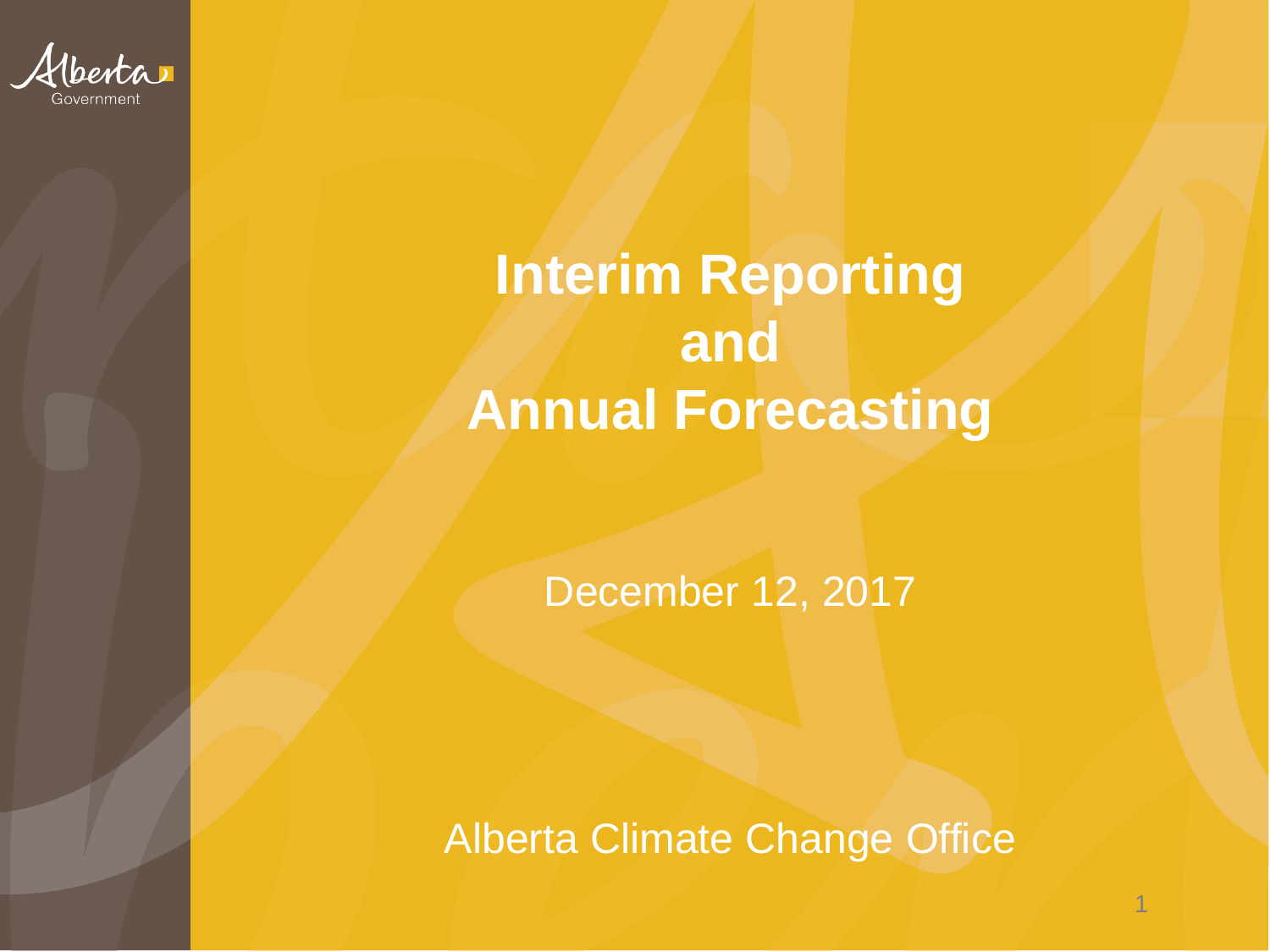

#### **Interim Reporting and Annual Forecasting**

December 12, 2017

Alberta Climate Change Office

1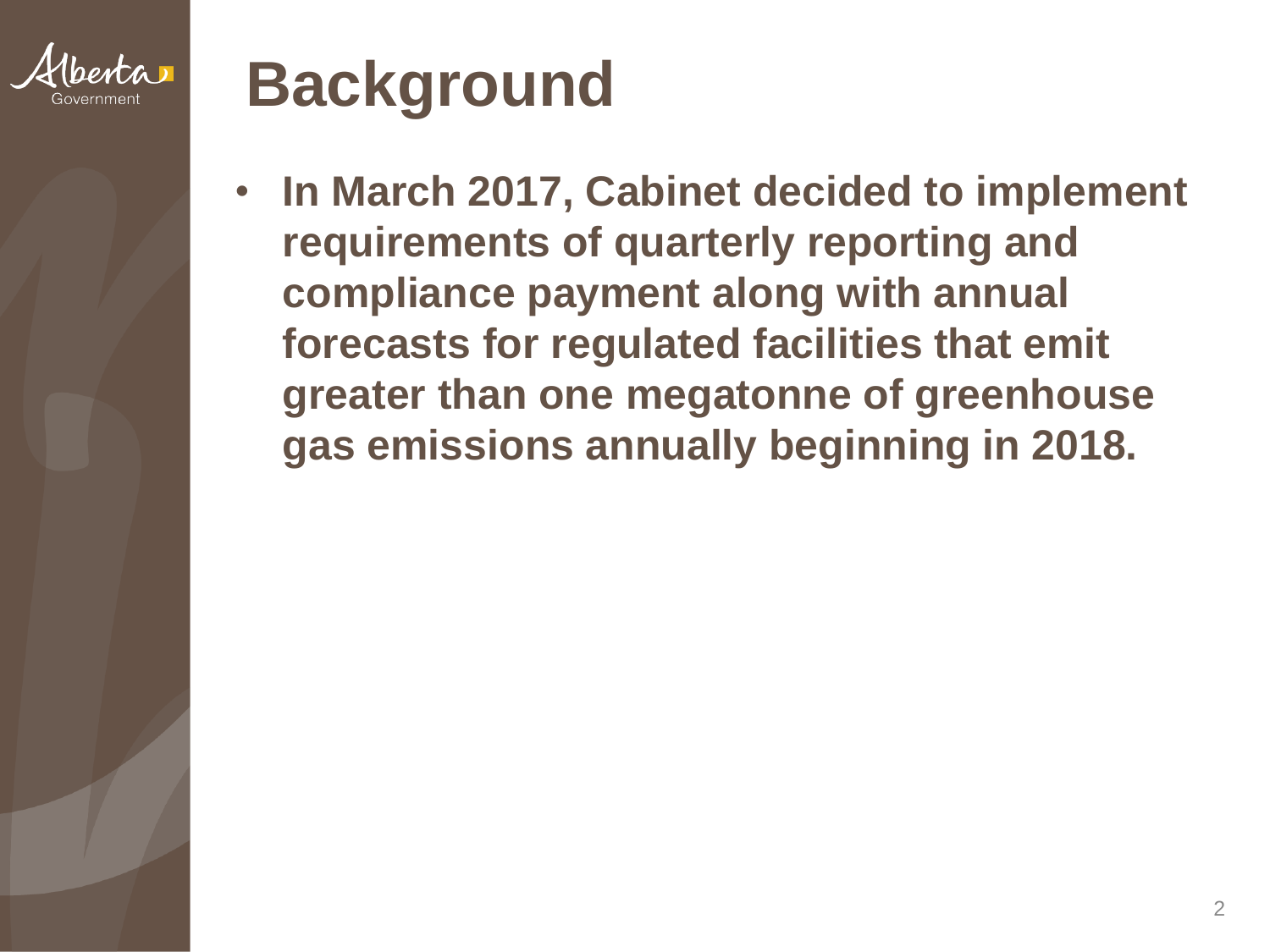

### **Background**

• **In March 2017, Cabinet decided to implement requirements of quarterly reporting and compliance payment along with annual forecasts for regulated facilities that emit greater than one megatonne of greenhouse gas emissions annually beginning in 2018.**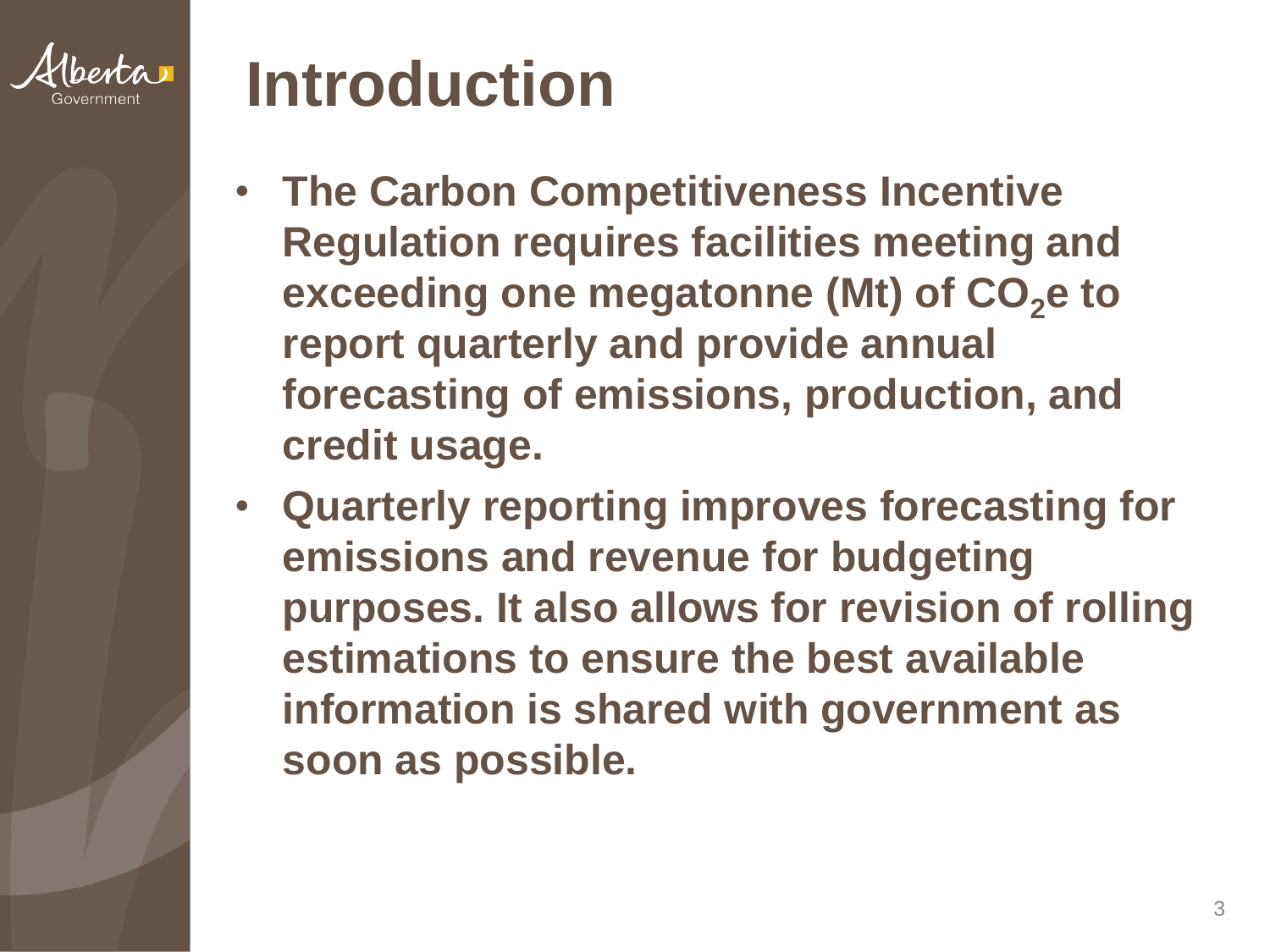

#### **Introduction**

- **The Carbon Competitiveness Incentive Regulation requires facilities meeting and exceeding one megatonne (Mt) of CO<sub>2</sub><sup>e</sup> to report quarterly and provide annual forecasting of emissions, production, and credit usage.**
- **Quarterly reporting improves forecasting for emissions and revenue for budgeting purposes. It also allows for revision of rolling estimations to ensure the best available information is shared with government as soon as possible.**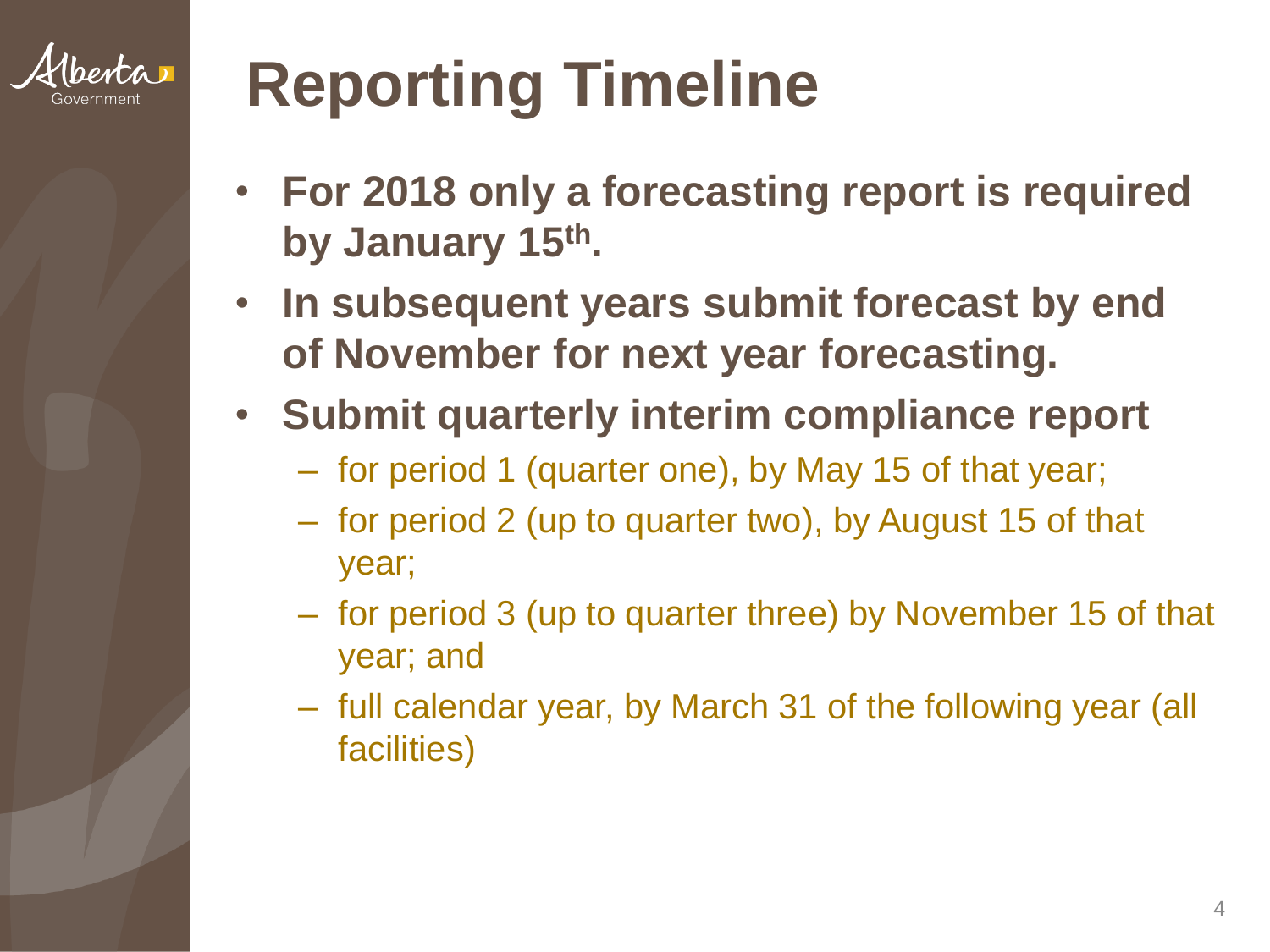

## **Reporting Timeline**

- **For 2018 only a forecasting report is required by January 15th.**
- **In subsequent years submit forecast by end of November for next year forecasting.**
- **Submit quarterly interim compliance report**
	- for period 1 (quarter one), by May 15 of that year;
	- for period 2 (up to quarter two), by August 15 of that year;
	- for period 3 (up to quarter three) by November 15 of that year; and
	- full calendar year, by March 31 of the following year (all facilities)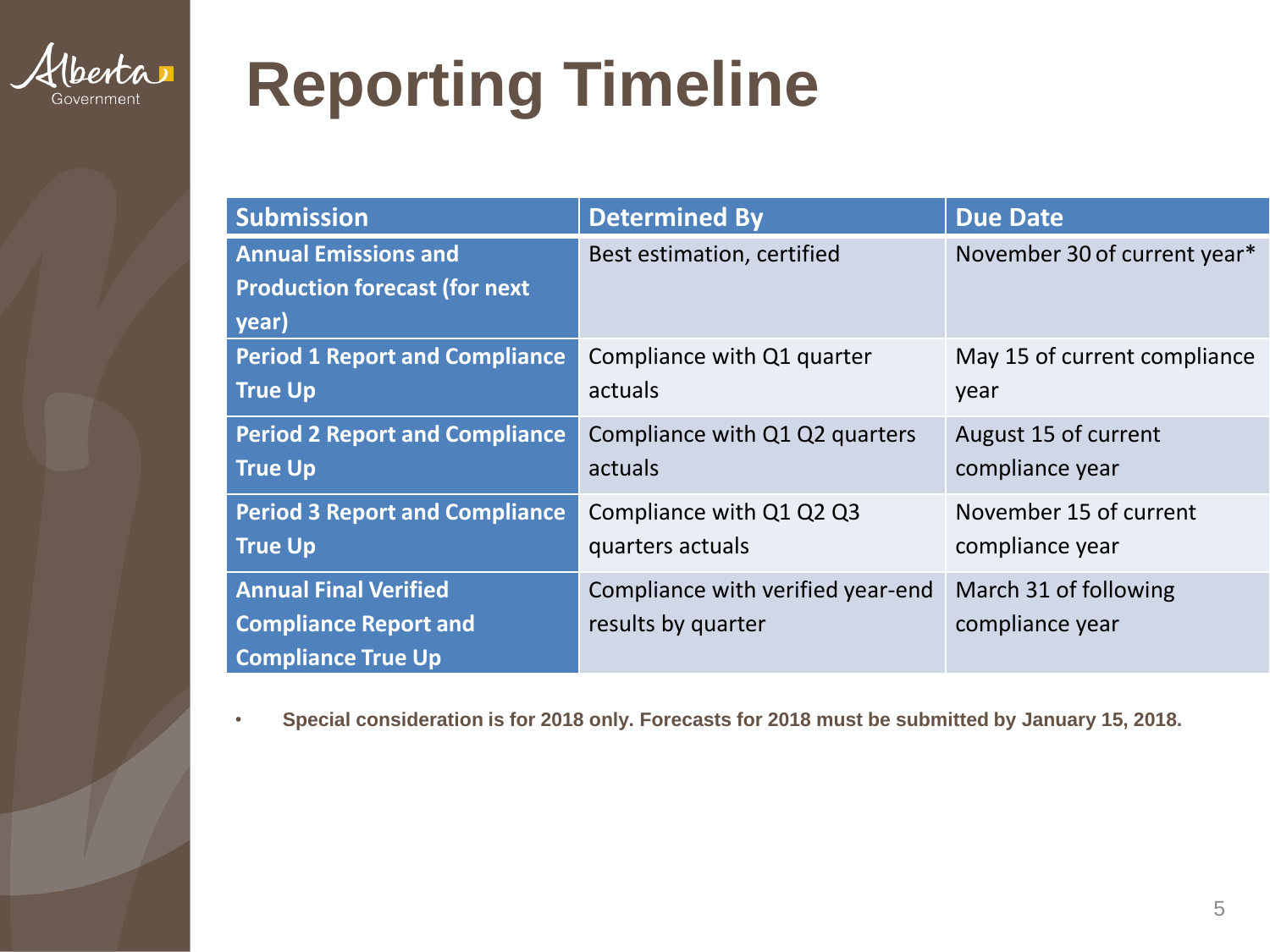

## **Reporting Timeline**

| <b>Submission</b>                     | <b>Determined By</b>              | <b>Due Date</b>              |
|---------------------------------------|-----------------------------------|------------------------------|
| <b>Annual Emissions and</b>           | Best estimation, certified        | November 30 of current year* |
| <b>Production forecast (for next</b>  |                                   |                              |
| year)                                 |                                   |                              |
| <b>Period 1 Report and Compliance</b> | Compliance with Q1 quarter        | May 15 of current compliance |
| <b>True Up</b>                        | actuals                           | year                         |
| <b>Period 2 Report and Compliance</b> | Compliance with Q1 Q2 quarters    | August 15 of current         |
| <b>True Up</b>                        | actuals                           | compliance year              |
| <b>Period 3 Report and Compliance</b> | Compliance with Q1 Q2 Q3          | November 15 of current       |
| <b>True Up</b>                        | quarters actuals                  | compliance year              |
| <b>Annual Final Verified</b>          | Compliance with verified year-end | March 31 of following        |
| <b>Compliance Report and</b>          | results by quarter                | compliance year              |
| <b>Compliance True Up</b>             |                                   |                              |

• **Special consideration is for 2018 only. Forecasts for 2018 must be submitted by January 15, 2018.**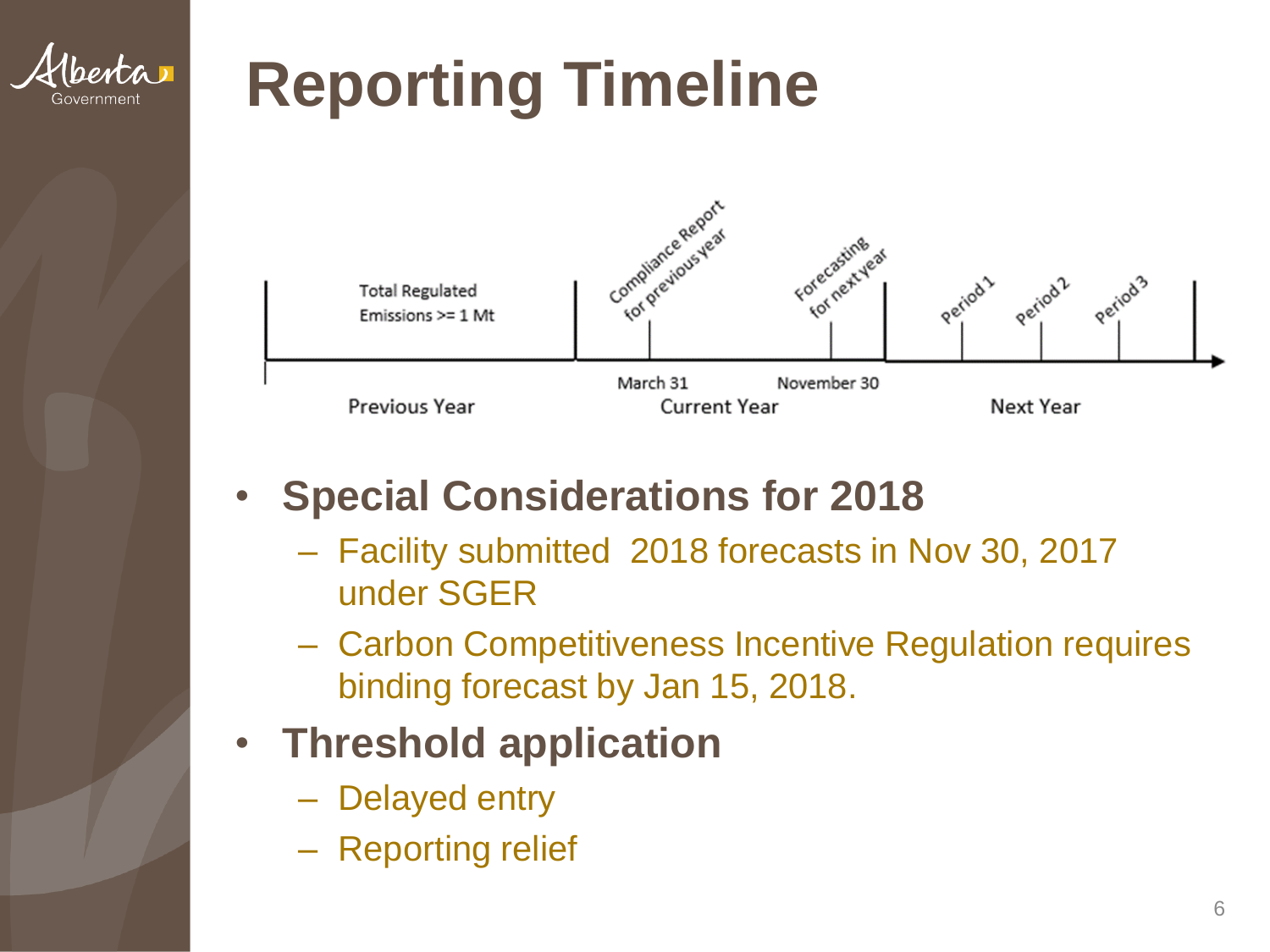

## **Reporting Timeline**



#### • **Special Considerations for 2018**

- Facility submitted 2018 forecasts in Nov 30, 2017 under SGER
- Carbon Competitiveness Incentive Regulation requires binding forecast by Jan 15, 2018.

#### • **Threshold application**

- Delayed entry
- Reporting relief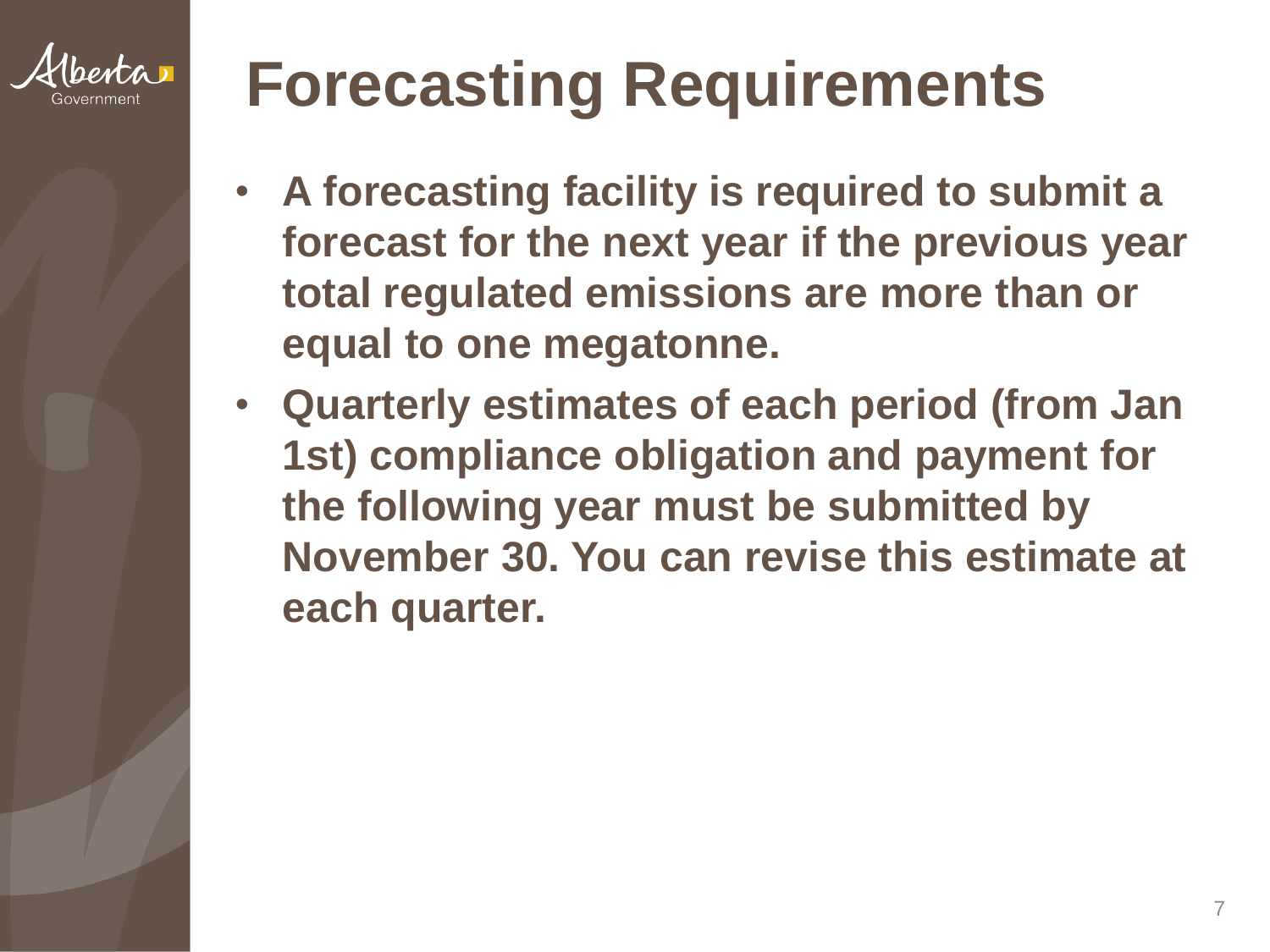

## **Forecasting Requirements**

- **A forecasting facility is required to submit a forecast for the next year if the previous year total regulated emissions are more than or equal to one megatonne.**
- **Quarterly estimates of each period (from Jan 1st) compliance obligation and payment for the following year must be submitted by November 30. You can revise this estimate at each quarter.**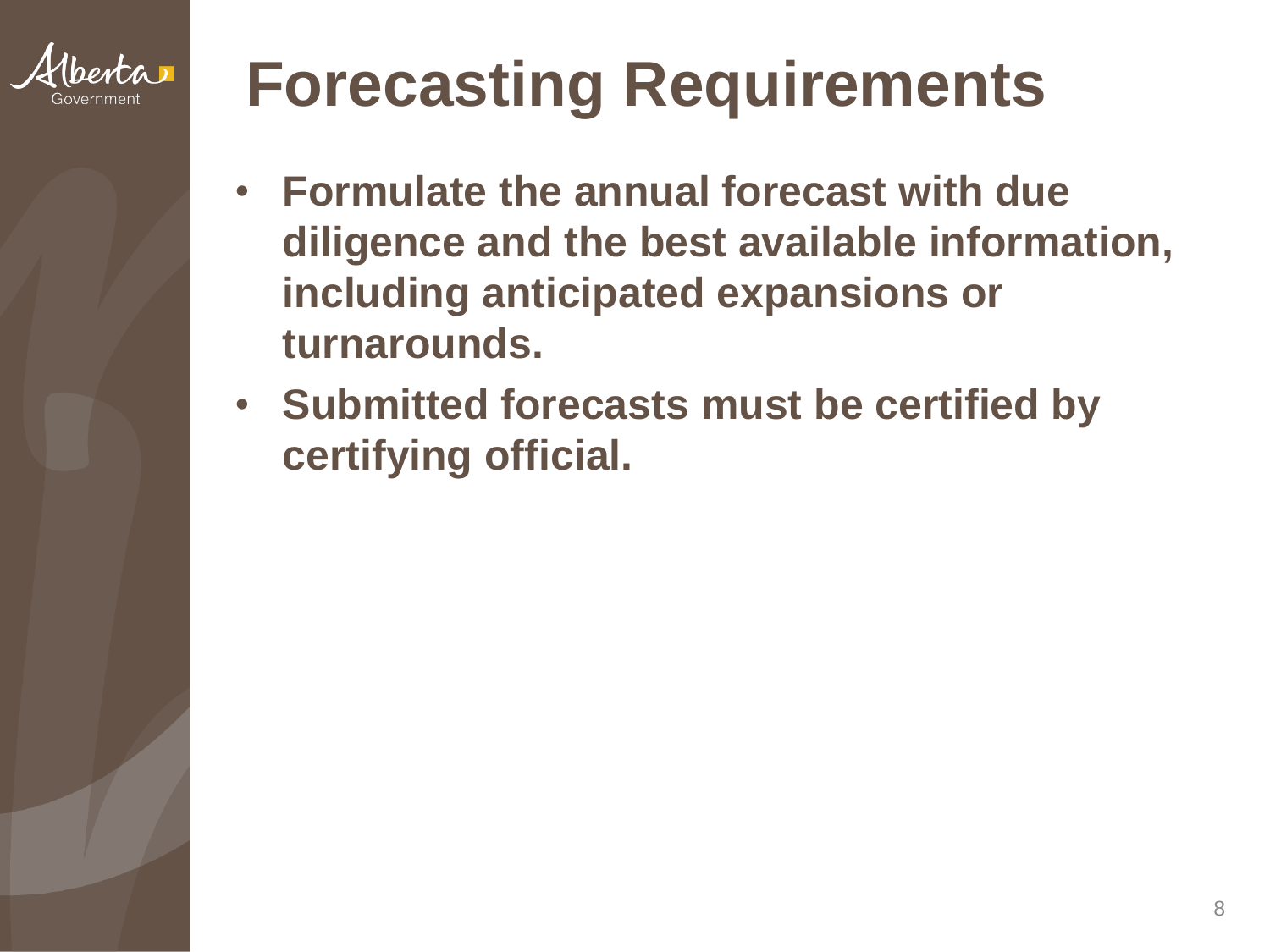

## **Forecasting Requirements**

- **Formulate the annual forecast with due diligence and the best available information, including anticipated expansions or turnarounds.**
- **Submitted forecasts must be certified by certifying official.**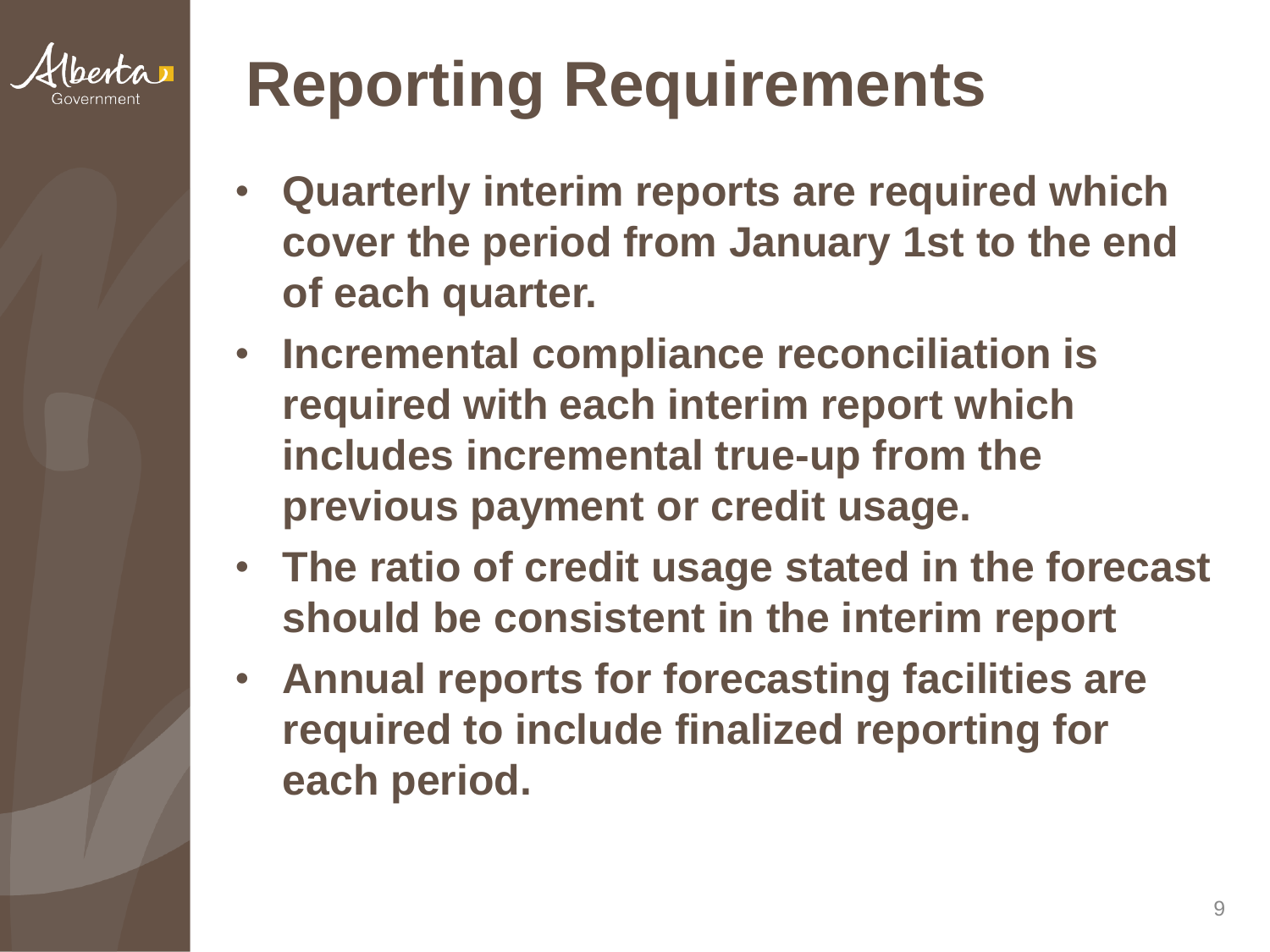

# **Reporting Requirements**

- **Quarterly interim reports are required which cover the period from January 1st to the end of each quarter.**
- **Incremental compliance reconciliation is required with each interim report which includes incremental true-up from the previous payment or credit usage.**
- **The ratio of credit usage stated in the forecast should be consistent in the interim report**
- **Annual reports for forecasting facilities are required to include finalized reporting for each period.**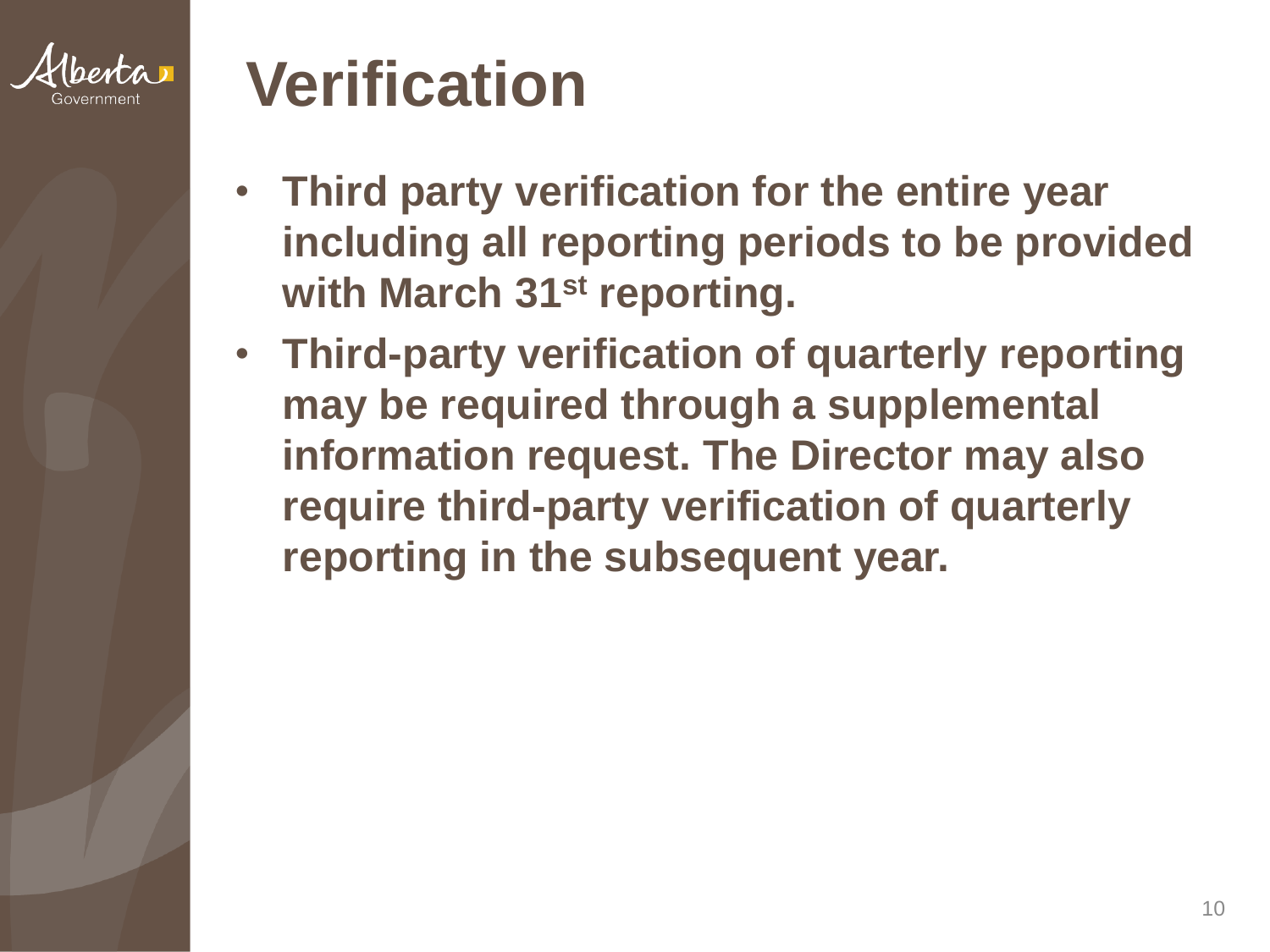

#### **Verification**

- **Third party verification for the entire year including all reporting periods to be provided with March 31st reporting.**
- **Third-party verification of quarterly reporting may be required through a supplemental information request. The Director may also require third-party verification of quarterly reporting in the subsequent year.**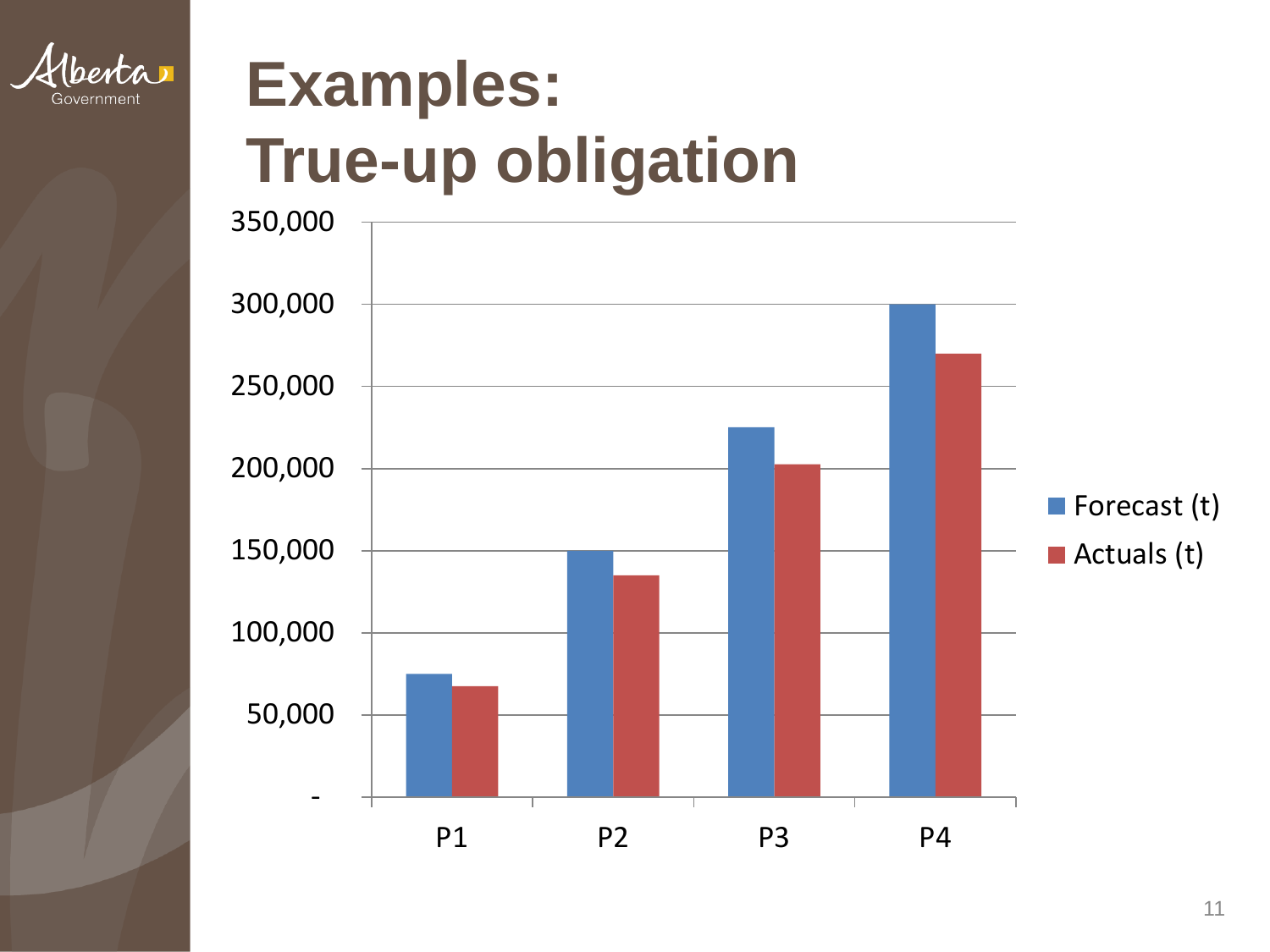

## **Examples: True-up obligation**

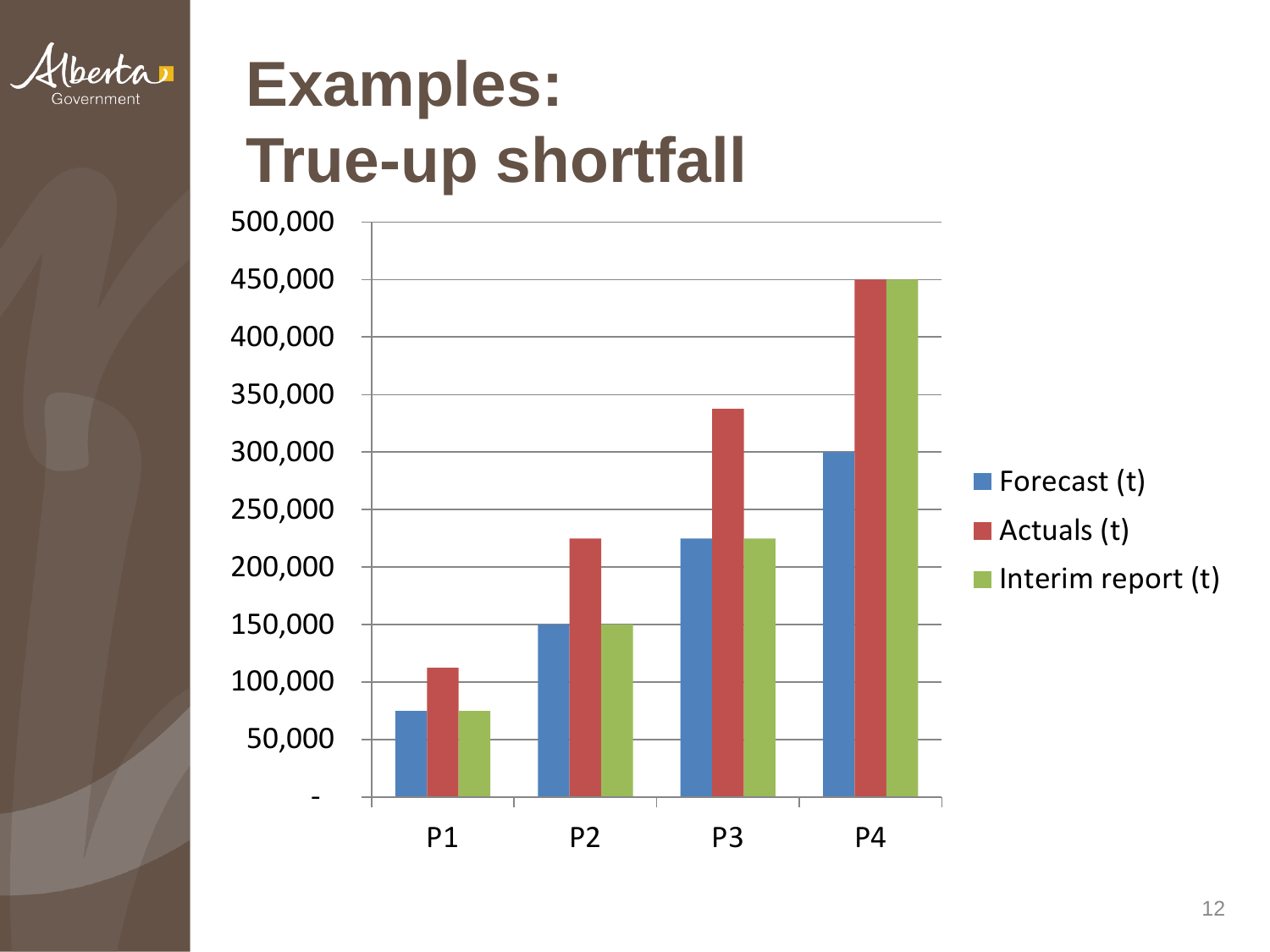

## **Examples: True-up shortfall**

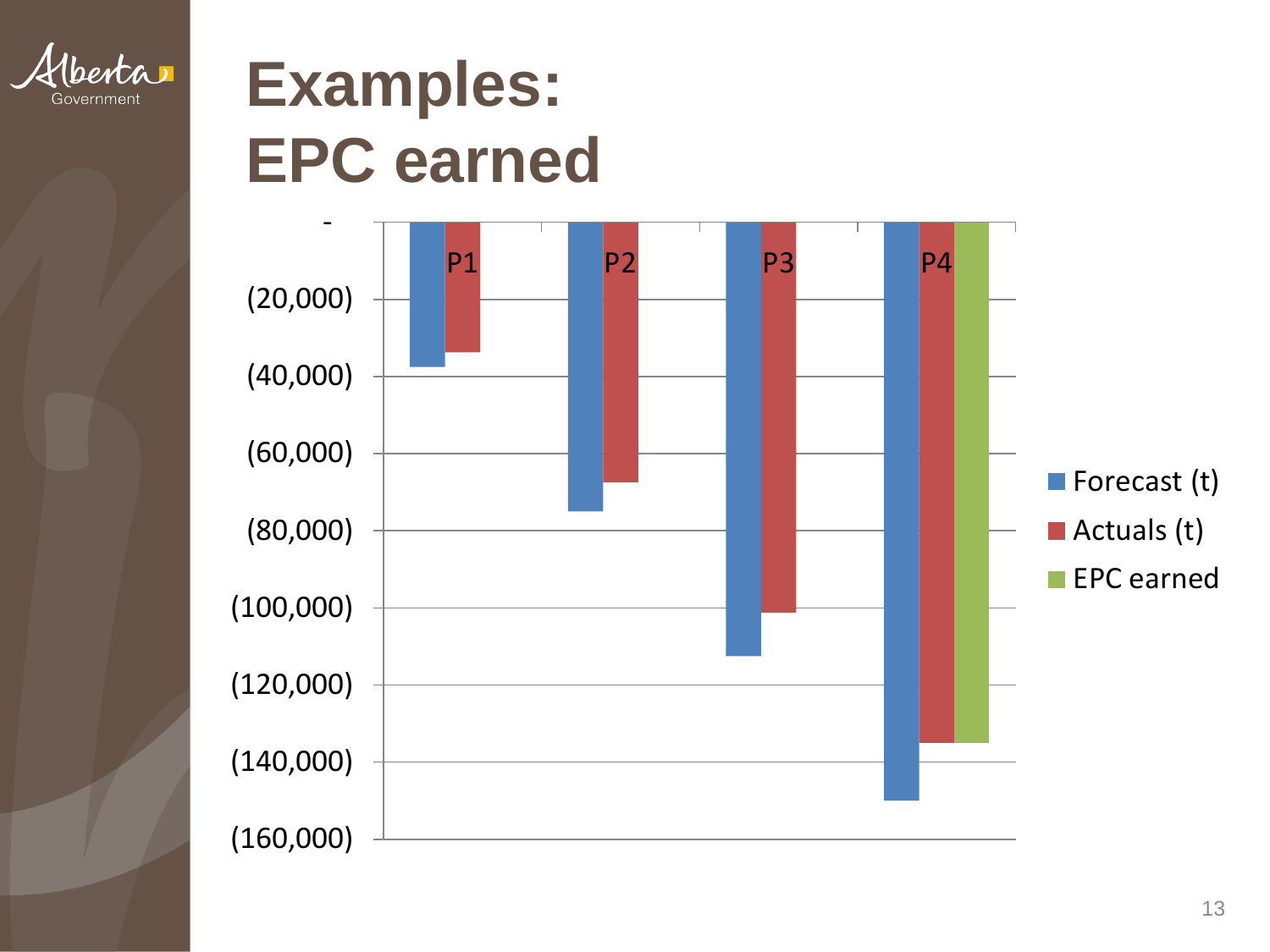

### **Examples: EPC earned**

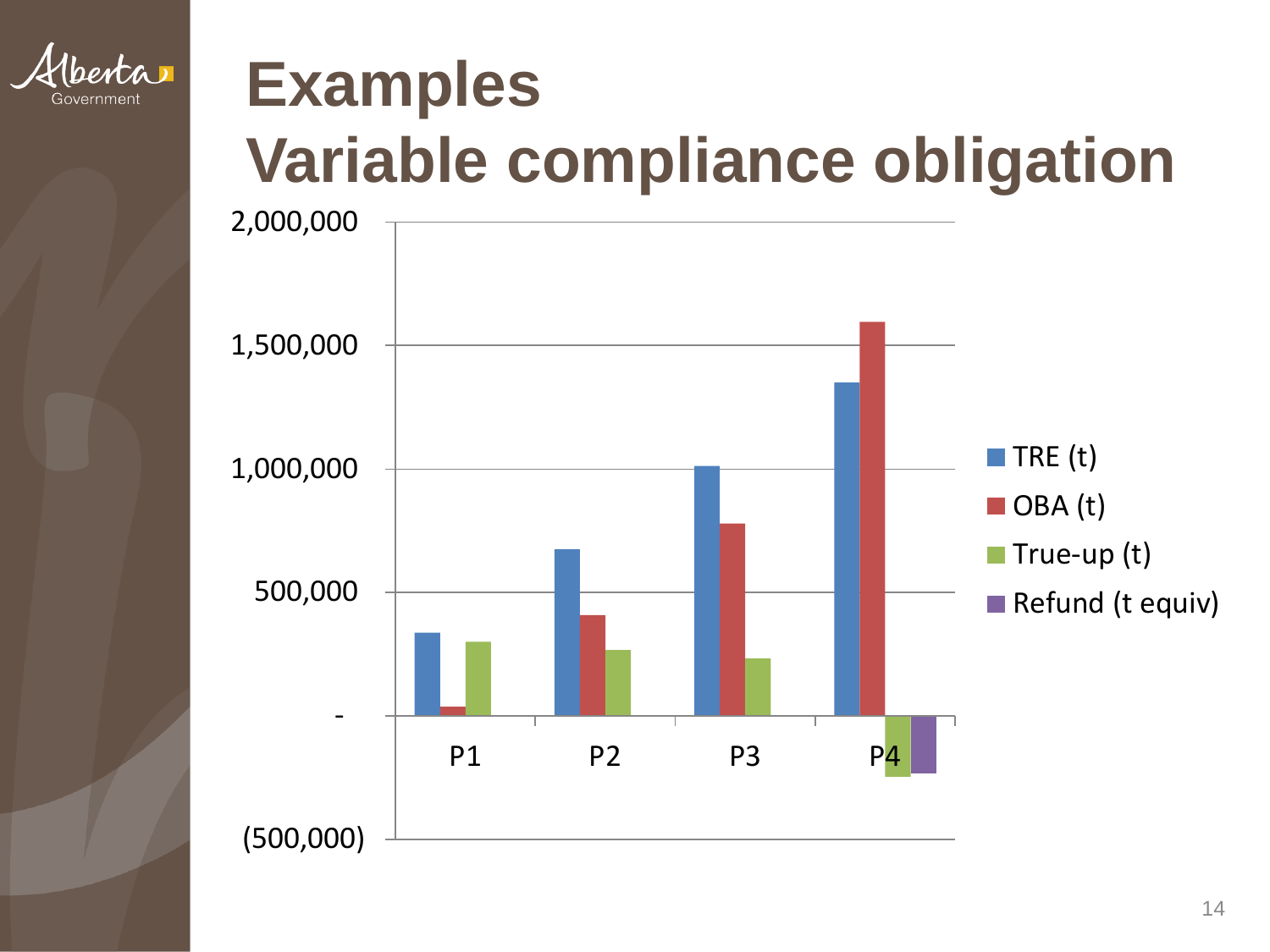

## **Examples Variable compliance obligation**